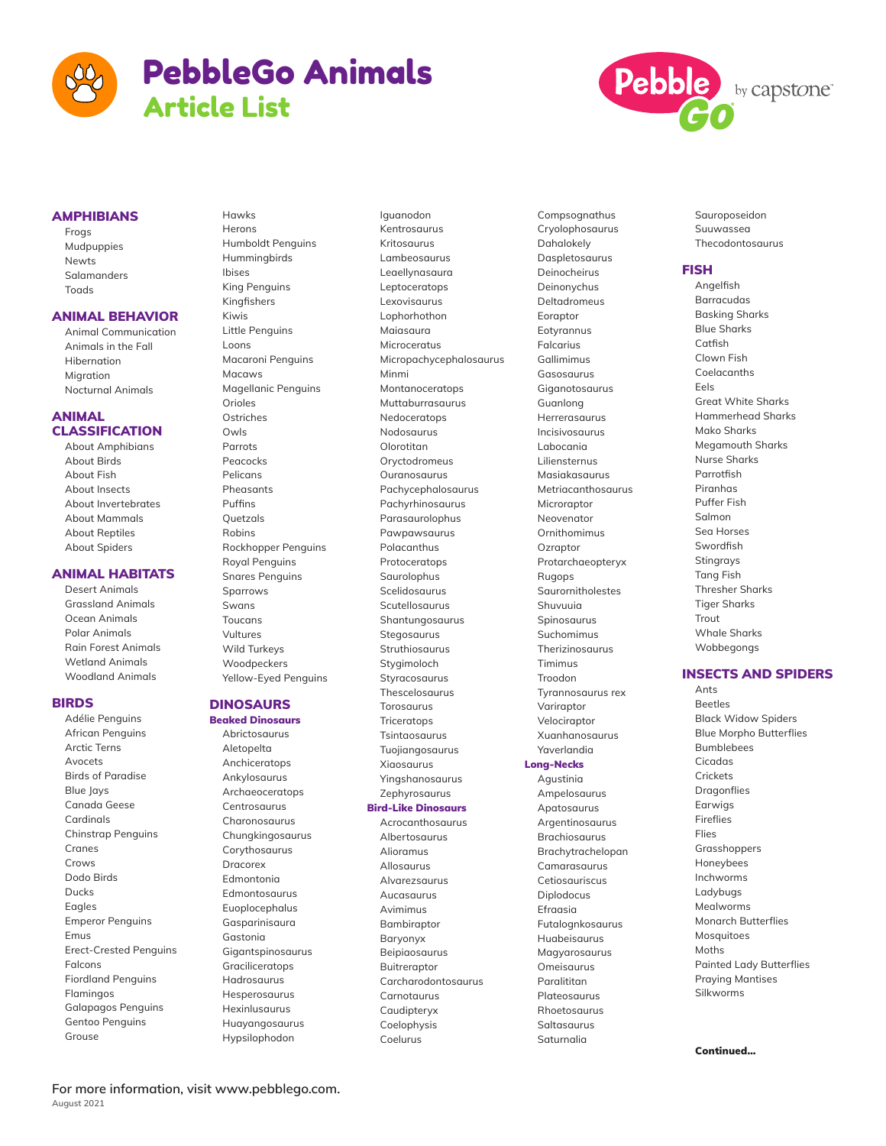

Hawks



## **AMPHIBIANS**

Frogs Mudpuppies Newts Salamanders Toads

#### ANIMAL BEHAVIOR

Animal Communication Animals in the Fall Hibernation Migration Nocturnal Animals

#### ANIMAL **CLASSIFICATION**

About Amphibians About Birds About Fish About Insects About Invertebrates About Mammals About Reptiles About Spiders

# ANIMAL HABITATS

Desert Animals Grassland Animals Ocean Animals Polar Animals Rain Forest Animals Wetland Animals Woodland Animals

#### BIRDS

Adélie Penguins African Penguins Arctic Terns Avocets Birds of Paradise Blue Jays Canada Geese Cardinals Chinstrap Penguins Cranes Crows Dodo Birds Ducks Eagles Emperor Penguins Emus Erect-Crested Penguins Falcons Fiordland Penguins Flamingos Galapagos Penguins Gentoo Penguins Grouse

Herons Humboldt Penguins Hummingbirds Ibises King Penguins Kingfishers Kiwis Little Penguins Loons Macaroni Penguins Macaws Magellanic Penguins Orioles Ostriches Owls Parrots Peacocks Pelicans Pheasants Puffins **Ouetzals** Robins Rockhopper Penguins Royal Penguins Snares Penguins Sparrows Swans Toucans Vultures Wild Turkeys Woodpeckers

# DINOSAURS

Beaked Dinosaurs

Yellow-Eyed Penguins

Abrictosaurus Aletopelta Anchiceratops Ankylosaurus Archaeoceratops Centrosaurus Charonosaurus Chungkingosaurus Corythosaurus Dracorex Edmontonia Edmontosaurus Euoplocephalus Gasparinisaura Gastonia Gigantspinosaurus Graciliceratops Hadrosaurus Hesperosaurus Hexinlusaurus Huayangosaurus Hypsilophodon

Iguanodon Kentrosaurus Kritosaurus Lambeosaurus Leaellynasaura Leptoceratops Lexovisaurus Lophorhothon Maiasaura Microceratus Micropachycephalosaurus Minmi Montanoceratops Muttaburrasaurus Nedoceratops Nodosaurus Olorotitan Oryctodromeus Ouranosaurus Pachycephalosaurus Pachyrhinosaurus Parasaurolophus Pawpawsaurus Polacanthus **Protoceratops** Saurolophus Scelidosaurus Scutellosaurus Shantungosaurus Stegosaurus Struthiosaurus Stygimoloch Styracosaurus Thescelosaurus Torosaurus **Triceratops** Tsintaosaurus Tuojiangosaurus Xiaosaurus Yingshanosaurus Zephyrosaurus Bird-Like Dinosaurs Acrocanthosaurus

Albertosaurus Alioramus Allosaurus Alvarezsaurus Aucasaurus Avimimus Bambiraptor Baryonyx Beipiaosaurus Buitreraptor Carcharodontosaurus Carnotaurus Caudipteryx Coelophysis Coelurus

Compsognathus Cryolophosaurus Dahalokely Daspletosaurus Deinocheirus Deinonychus Deltadromeus Eoraptor Eotyrannus Falcarius Gallimimus Gasosaurus Giganotosaurus Guanlong Herrerasaurus Incisivosaurus Labocania Liliensternus Masiakasaurus Metriacanthosaurus Microraptor Neovenator Ornithomimus **Ozraptor** Protarchaeopteryx Rugops Saurornitholestes Shuvuuia Spinosaurus Suchomimus Therizinosaurus Timimus Troodon Tyrannosaurus rex Variraptor Velociraptor Xuanhanosaurus Yaverlandia Long-Necks Agustinia Ampelosaurus Apatosaurus Argentinosaurus Brachiosaurus Brachytrachelopan Camarasaurus Cetiosauriscus Diplodocus Efraasia Futalognkosaurus Huabeisaurus Magyarosaurus

> Omeisaurus Paralititan Plateosaurus Rhoetosaurus Saltasaurus Saturnalia

Sauroposeidon Suuwassea Thecodontosaurus

#### FISH

Angelfish Barracudas Basking Sharks Blue Sharks Catfish Clown Fish Coelacanths Eels Great White Sharks Hammerhead Sharks Mako Sharks Megamouth Sharks Nurse Sharks Parrotfish Piranhas Puffer Fish Salmon Sea Horses Swordfish Stingrays Tang Fish Thresher Sharks Tiger Sharks Trout Whale Sharks

### INSECTS AND SPIDERS

Wobbegongs

Ants Beetles Black Widow Spiders Blue Morpho Butterflies Bumblebees Cicadas **Crickets** Dragonflies Earwigs Fireflies Flies Grasshoppers Honeybees Inchworms Ladybugs Mealworms Monarch Butterflies Mosquitoes Moths Painted Lady Butterflies Praying Mantises Silkworms

Continued…